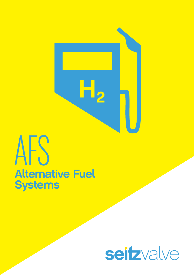

# AFS **Alternative Fuel Systems**

## seitzvalve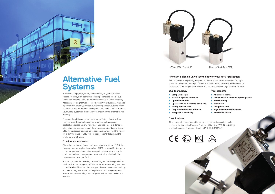For maintaining quality, safety and credibility of your alternative fueling systems, high-performance components are crucial. But these components alone will not help you achieve the consistency necessary for long-term success. To sustain your success, you need a partner that not only provides quality components, but also offers customized and comprehensive support that enables you to improve your fueling system and increase your impact on the alternative fuel industry.

For more than 60 years, a various range of Seitz solenoid valves has improved the operations of many critical high-pressure applications across several industries. Our track record extends to alternative fuel systems already from the pioneering days; with our CNG high pressure solenoid valve series we have served the industry in ten thousand of CNG refueling applications throughout the world for over 20 years.

#### Continuous Innovation

**HH** 

 $\infty$ 

P

- **Minimal footprint**
- **Lower investment and operating costs**
- **Faster fueling**
- **Flexibility**
- **Longer lifespan**
- **Higher economic efficiency**
- **Maximum safety**



Since the number of planned hydrogen refueling stations (HRS) for the near term, as well as the number of HRS projected for the period up to mid-century is increasing, we continue to develop and refine products that help our customers achieve their goals also in the high-pressure hydrogen fueling.

You can improve the reliability, repeatability and fueling speed of your HRS applications using our HyValve series for an operating pressure up to 1000 bar. Thanks to their compact design, peerless technology and electromagnetic actuation the products will save you space, investment and operating costs vs. pneumatic actuated valves and systems.

HyValve 1000, Type 3106 HyValve 1000, Type 3105



#### Premium Solenoid Valve Technology for your HRS Application

Seitz HyValves are specially designed to meet the specific requirements for highpressure fueling with hydrogen. The direct- and internally pilot-operated valves can be used in dispensing units as well as in compressor and storage systems for HRS.

#### Our Technology

- **Compact design**
- **Electromagnetic actuation**
- **P** Optimal flow rate
- **P** Operates in all mounting positions
- **Sturdy construction**
- **Longer maintenance intervals**
- **Exceptional reliability**

#### **Certifications**

#### Your Benefits

All our solenoid valves are subjected to comprehensive quality checks and compliant with the Pressure Equipment Directive (PED 2014/68/EU) and the Explosion Protection Directive (ATEX 2014/34/EU).





### Alternative Fuel **Systems**